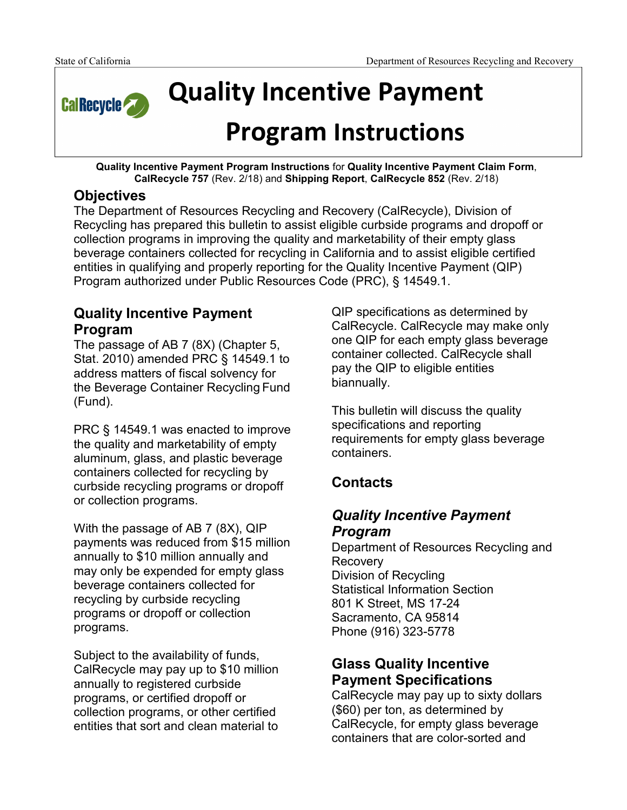

**Quality Incentive Payment** 

# **Program Instructions**

**Quality Incentive Payment Program Instructions** for **Quality Incentive Payment Claim Form**, **CalRecycle 757** (Rev. 2/18) and **Shipping Report**, **CalRecycle 852** (Rev. 2/18)

# **Objectives**

The Department of Resources Recycling and Recovery (CalRecycle), Division of Recycling has prepared this bulletin to assist eligible curbside programs and dropoff or collection programs in improving the quality and marketability of their empty glass beverage containers collected for recycling in California and to assist eligible certified entities in qualifying and properly reporting for the Quality Incentive Payment (QIP) Program authorized under Public Resources Code (PRC), § 14549.1.

# **Quality Incentive Payment Program**

The passage of AB 7 (8X) (Chapter 5, Stat. 2010) amended PRC § 14549.1 to address matters of fiscal solvency for the Beverage Container Recycling Fund (Fund).

PRC § 14549.1 was enacted to improve the quality and marketability of empty aluminum, glass, and plastic beverage containers collected for recycling by curbside recycling programs or dropoff or collection programs.

With the passage of AB 7 (8X), QIP payments was reduced from \$15 million annually to \$10 million annually and may only be expended for empty glass beverage containers collected for recycling by curbside recycling programs or dropoff or collection programs.

Subject to the availability of funds, CalRecycle may pay up to \$10 million annually to registered curbside programs, or certified dropoff or collection programs, or other certified entities that sort and clean material to

QIP specifications as determined by CalRecycle. CalRecycle may make only one QIP for each empty glass beverage container collected. CalRecycle shall pay the QIP to eligible entities biannually.

This bulletin will discuss the quality specifications and reporting requirements for empty glass beverage containers.

# **Contacts**

# *Quality Incentive Payment Program*

Department of Resources Recycling and Recovery Division of Recycling Statistical Information Section 801 K Street, MS 17-24 Sacramento, CA 95814 Phone (916) 323-5778

# **Glass Quality Incentive Payment Specifications**

CalRecycle may pay up to sixty dollars (\$60) per ton, as determined by CalRecycle, for empty glass beverage containers that are color-sorted and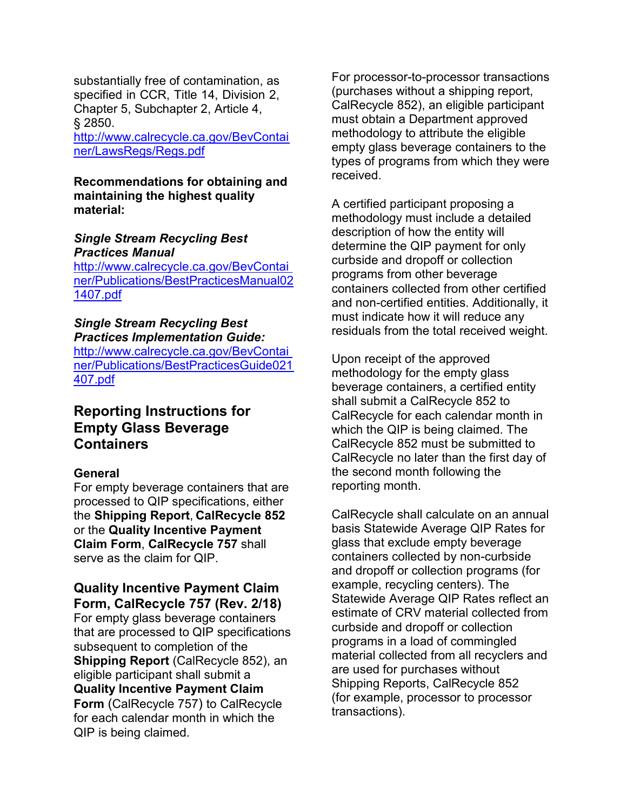substantially free of contamination, as specified in CCR, Title 14, Division 2, Chapter 5, Subchapter 2, Article 4, § 2850.

<http://www.calrecycle.ca.gov/BevContai> ner/LawsRegs/Regs.pdf

**Recommendations for obtaining and maintaining the highest quality material:**

#### *Single Stream Recycling Best Practices Manual*

<http://www.calrecycle.ca.gov/BevContai> ner/Publications/BestPracticesManual02 1407.pdf

#### *Single Stream Recycling Best Practices Implementation Guide:*

<http://www.calrecycle.ca.gov/BevContai> ner/Publications/BestPracticesGuide021 407.pdf

## **Reporting Instructions for Empty Glass Beverage Containers**

#### **General**

For empty beverage containers that are processed to QIP specifications, either the **Shipping Report**, **CalRecycle 852** or the **Quality Incentive Payment Claim Form**, **CalRecycle 757** shall serve as the claim for QIP.

#### **Quality Incentive Payment Claim Form, CalRecycle 757 (Rev. 2/18)**

For empty glass beverage containers that are processed to QIP specifications subsequent to completion of the **Shipping Report** (CalRecycle 852), an eligible participant shall submit a **Quality Incentive Payment Claim Form** (CalRecycle 757) to CalRecycle for each calendar month in which the QIP is being claimed.

For processor-to-processor transactions (purchases without a shipping report, CalRecycle 852), an eligible participant must obtain a Department approved methodology to attribute the eligible empty glass beverage containers to the types of programs from which they were received.

A certified participant proposing a methodology must include a detailed description of how the entity will determine the QIP payment for only curbside and dropoff or collection programs from other beverage containers collected from other certified and non-certified entities. Additionally, it must indicate how it will reduce any residuals from the total received weight.

Upon receipt of the approved methodology for the empty glass beverage containers, a certified entity shall submit a CalRecycle 852 to CalRecycle for each calendar month in which the QIP is being claimed. The CalRecycle 852 must be submitted to CalRecycle no later than the first day of the second month following the reporting month.

CalRecycle shall calculate on an annual basis Statewide Average QIP Rates for glass that exclude empty beverage containers collected by non-curbside and dropoff or collection programs (for example, recycling centers). The Statewide Average QIP Rates reflect an estimate of CRV material collected from curbside and dropoff or collection programs in a load of commingled material collected from all recyclers and are used for purchases without Shipping Reports, CalRecycle 852 (for example, processor to processor transactions).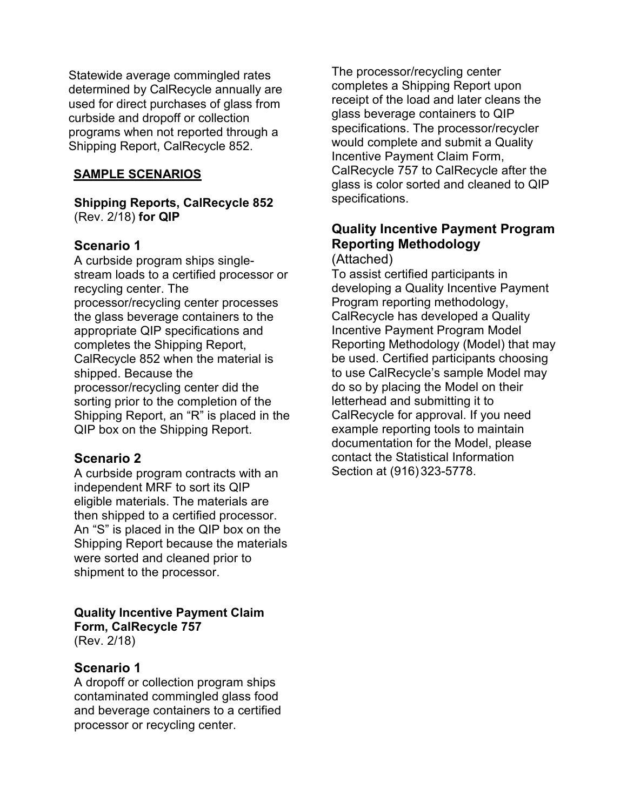Statewide average commingled rates determined by CalRecycle annually are used for direct purchases of glass from curbside and dropoff or collection programs when not reported through a Shipping Report, CalRecycle 852.

#### **SAMPLE SCENARIOS**

**Shipping Reports, CalRecycle 852**  (Rev. 2/18) **for QIP** 

## **Scenario 1**

A curbside program ships singlestream loads to a certified processor or recycling center. The processor/recycling center processes the glass beverage containers to the appropriate QIP specifications and completes the Shipping Report, CalRecycle 852 when the material is shipped. Because the processor/recycling center did the sorting prior to the completion of the Shipping Report, an "R" is placed in the QIP box on the Shipping Report.

## **Scenario 2**

A curbside program contracts with an independent MRF to sort its QIP eligible materials. The materials are then shipped to a certified processor. An "S" is placed in the QIP box on the Shipping Report because the materials were sorted and cleaned prior to shipment to the processor.

#### **Quality Incentive Payment Claim Form, CalRecycle 757**  (Rev. 2/18)

## **Scenario 1**

A dropoff or collection program ships contaminated commingled glass food and beverage containers to a certified processor or recycling center.

The processor/recycling center completes a Shipping Report upon receipt of the load and later cleans the glass beverage containers to QIP specifications. The processor/recycler would complete and submit a Quality Incentive Payment Claim Form, CalRecycle 757 to CalRecycle after the glass is color sorted and cleaned to QIP specifications.

# **Quality Incentive Payment Program Reporting Methodology**

(Attached)

To assist certified participants in developing a Quality Incentive Payment Program reporting methodology, CalRecycle has developed a Quality Incentive Payment Program Model Reporting Methodology (Model) that may be used. Certified participants choosing to use CalRecycle's sample Model may do so by placing the Model on their letterhead and submitting it to CalRecycle for approval. If you need example reporting tools to maintain documentation for the Model, please contact the Statistical Information Section at (916) 323-5778.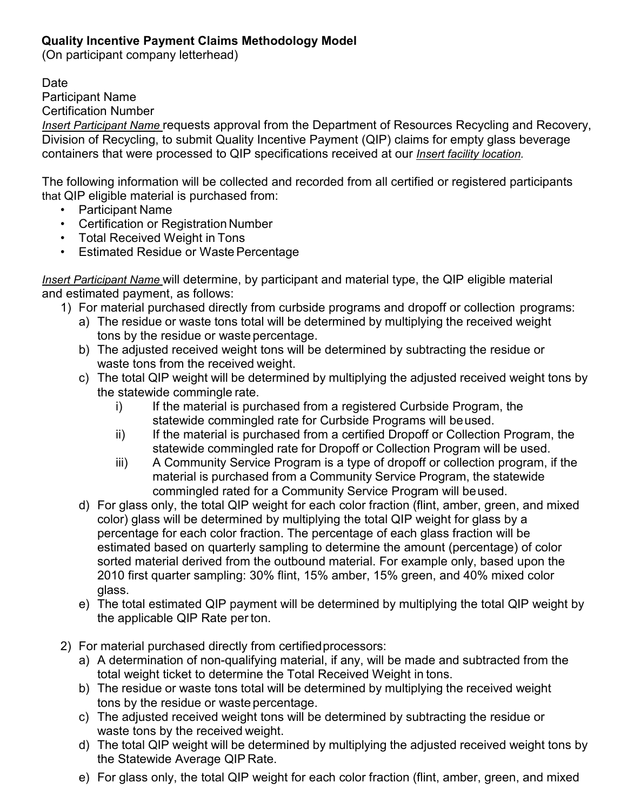## **Quality Incentive Payment Claims Methodology Model**

(On participant company letterhead)

Date

Participant Name

Certification Number

*Insert Participant Name* requests approval from the Department of Resources Recycling and Recovery, Division of Recycling, to submit Quality Incentive Payment (QIP) claims for empty glass beverage containers that were processed to QIP specifications received at our *Insert facility location.* 

The following information will be collected and recorded from all certified or registered participants that QIP eligible material is purchased from:

- Participant Name
- Certification or Registration Number
- Total Received Weight in Tons
- Estimated Residue or Waste Percentage

*Insert Participant Name* will determine, by participant and material type, the QIP eligible material and estimated payment, as follows:

- 1) For material purchased directly from curbside programs and dropoff or collection programs:
	- a) The residue or waste tons total will be determined by multiplying the received weight tons by the residue or waste percentage.
	- b) The adjusted received weight tons will be determined by subtracting the residue or waste tons from the received weight.
	- c) The total QIP weight will be determined by multiplying the adjusted received weight tons by the statewide commingle rate.
		- i) If the material is purchased from a registered Curbside Program, the statewide commingled rate for Curbside Programs will beused.
		- ii) If the material is purchased from a certified Dropoff or Collection Program, the statewide commingled rate for Dropoff or Collection Program will be used.
		- iii) A Community Service Program is a type of dropoff or collection program, if the material is purchased from a Community Service Program, the statewide commingled rated for a Community Service Program will beused.
	- d) For glass only, the total QIP weight for each color fraction (flint, amber, green, and mixed color) glass will be determined by multiplying the total QIP weight for glass by a percentage for each color fraction. The percentage of each glass fraction will be estimated based on quarterly sampling to determine the amount (percentage) of color sorted material derived from the outbound material. For example only, based upon the 2010 first quarter sampling: 30% flint, 15% amber, 15% green, and 40% mixed color glass.
	- e) The total estimated QIP payment will be determined by multiplying the total QIP weight by the applicable QIP Rate per ton.
- 2) For material purchased directly from certified processors:
	- a) A determination of non-qualifying material, if any, will be made and subtracted from the total weight ticket to determine the Total Received Weight in tons.
	- b) The residue or waste tons total will be determined by multiplying the received weight tons by the residue or waste percentage.
	- c) The adjusted received weight tons will be determined by subtracting the residue or waste tons by the received weight.
	- d) The total QIP weight will be determined by multiplying the adjusted received weight tons by the Statewide Average QIP Rate.
	- e) For glass only, the total QIP weight for each color fraction (flint, amber, green, and mixed